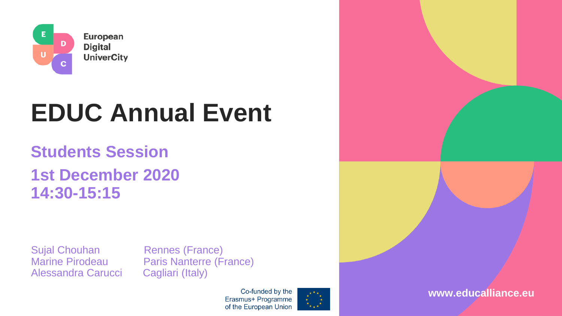

# **EDUC Annual Event**

### **Students Session 1st December 2020 14:30-15:15**

Sujal Chouhan Rennes (France) Alessandra Carucci Cagliari (Italy)

Marine Pirodeau Paris Nanterre (France)

Co-funded by the Erasmus+ Programme of the European Union



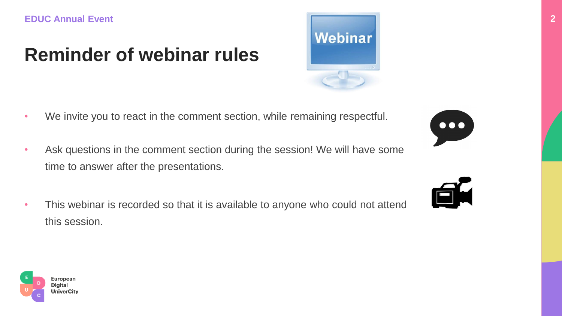# **Reminder of webinar rules**

- We invite you to react in the comment section, while remaining respectful.
- Ask questions in the comment section during the session! We will have some time to answer after the presentations.
- This webinar is recorded so that it is available to anyone who could not attend this session.









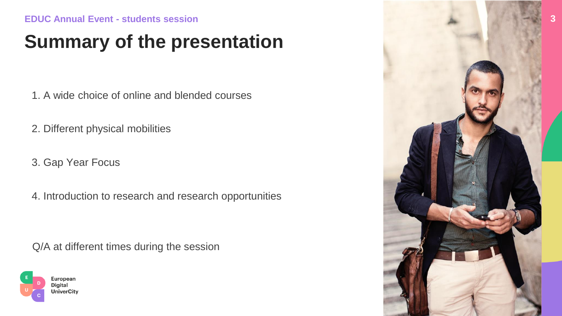# **Summary of the presentation**

1. A wide choice of online and blended courses

2. Different physical mobilities

3. Gap Year Focus

4. Introduction to research and research opportunities

Q/A at different times during the session



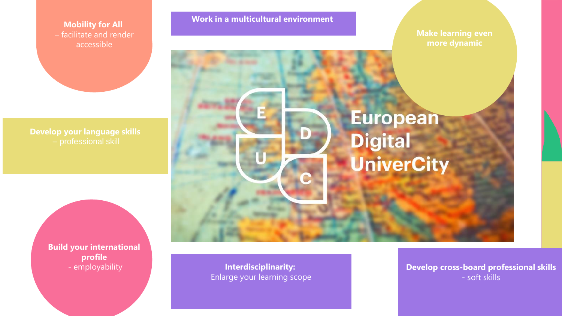**Mobility for All** – facilitate and render accessible

**Develop your language skills**

**Build your international profile**

**Work in a multicultural environment**

**Make learning even more dynamic**



- employability **Interdisciplinarity:** Enlarge your learning scope **Develop cross-board professional skills** - soft skills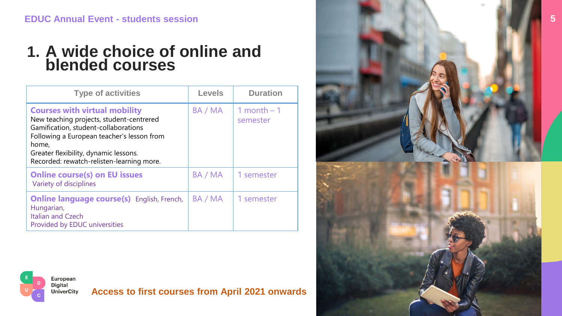#### **1. A wide choice of online and blended courses**

| <b>Type of activities</b>                                                                                                                                                                                                                                             | <b>Levels</b> | <b>Duration</b>          |
|-----------------------------------------------------------------------------------------------------------------------------------------------------------------------------------------------------------------------------------------------------------------------|---------------|--------------------------|
| <b>Courses with virtual mobility</b><br>New teaching projects, student-centrered<br>Gamification, student-collaborations<br>Following a European teacher's lesson from<br>home,<br>Greater flexibility, dynamic lessons.<br>Recorded: rewatch-relisten-learning more. | BA / MA       | 1 month $-1$<br>semester |
| <b>Online course(s) on EU issues</b><br>Variety of disciplines                                                                                                                                                                                                        | BA / MA       | 1 semester               |
| <b>Online language course(s)</b> English, French,<br>Hungarian,<br><b>Italian and Czech</b><br>Provided by EDUC universities                                                                                                                                          | BA / MA       | 1 semester               |

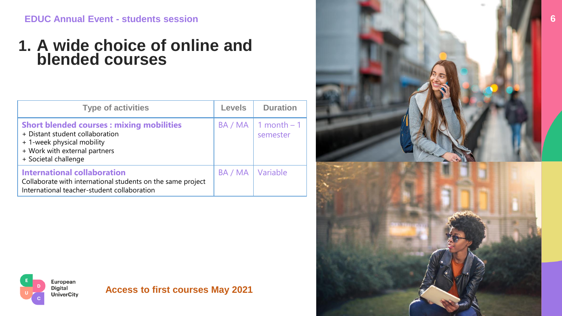#### **1. A wide choice of online and blended courses**

| <b>Type of activities</b>                                                                                                                                                 | <b>Levels</b> | <b>Duration</b>                    |
|---------------------------------------------------------------------------------------------------------------------------------------------------------------------------|---------------|------------------------------------|
| <b>Short blended courses: mixing mobilities</b><br>+ Distant student collaboration<br>+ 1-week physical mobility<br>+ Work with external partners<br>+ Societal challenge |               | $BA / MA$ 1 month $-1$<br>semester |
| <b>International collaboration</b><br>Collaborate with international students on the same project<br>International teacher-student collaboration                          | BA / MA       | Variable                           |



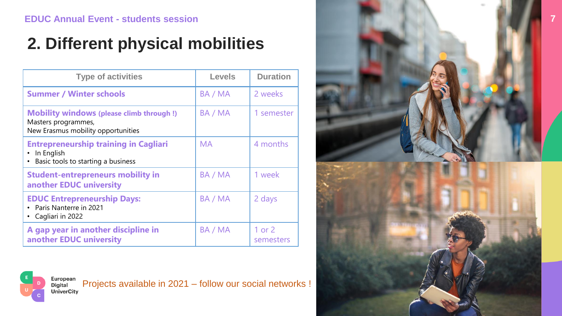## **2. Different physical mobilities**

| <b>Type of activities</b>                                                                                    | <b>Levels</b> | <b>Duration</b>     |
|--------------------------------------------------------------------------------------------------------------|---------------|---------------------|
| <b>Summer / Winter schools</b>                                                                               | BA / MA       | 2 weeks             |
| <b>Mobility windows (please climb through!)</b><br>Masters programmes,<br>New Erasmus mobility opportunities | BA / MA       | 1 semester          |
| <b>Entrepreneurship training in Cagliari</b><br>In English<br>• Basic tools to starting a business           | <b>MA</b>     | 4 months            |
| <b>Student-entrepreneurs mobility in</b><br>another EDUC university                                          | BA / MA       | 1 week              |
| <b>EDUC Entrepreneurship Days:</b><br>• Paris Nanterre in 2021<br>• Cagliari in 2022                         | BA / MA       | 2 days              |
| A gap year in another discipline in<br>another EDUC university                                               | BA / MA       | 1 or 2<br>semesters |





Projects available in 2021 – follow our social networks ! **Digital**<br> **UniverCity**